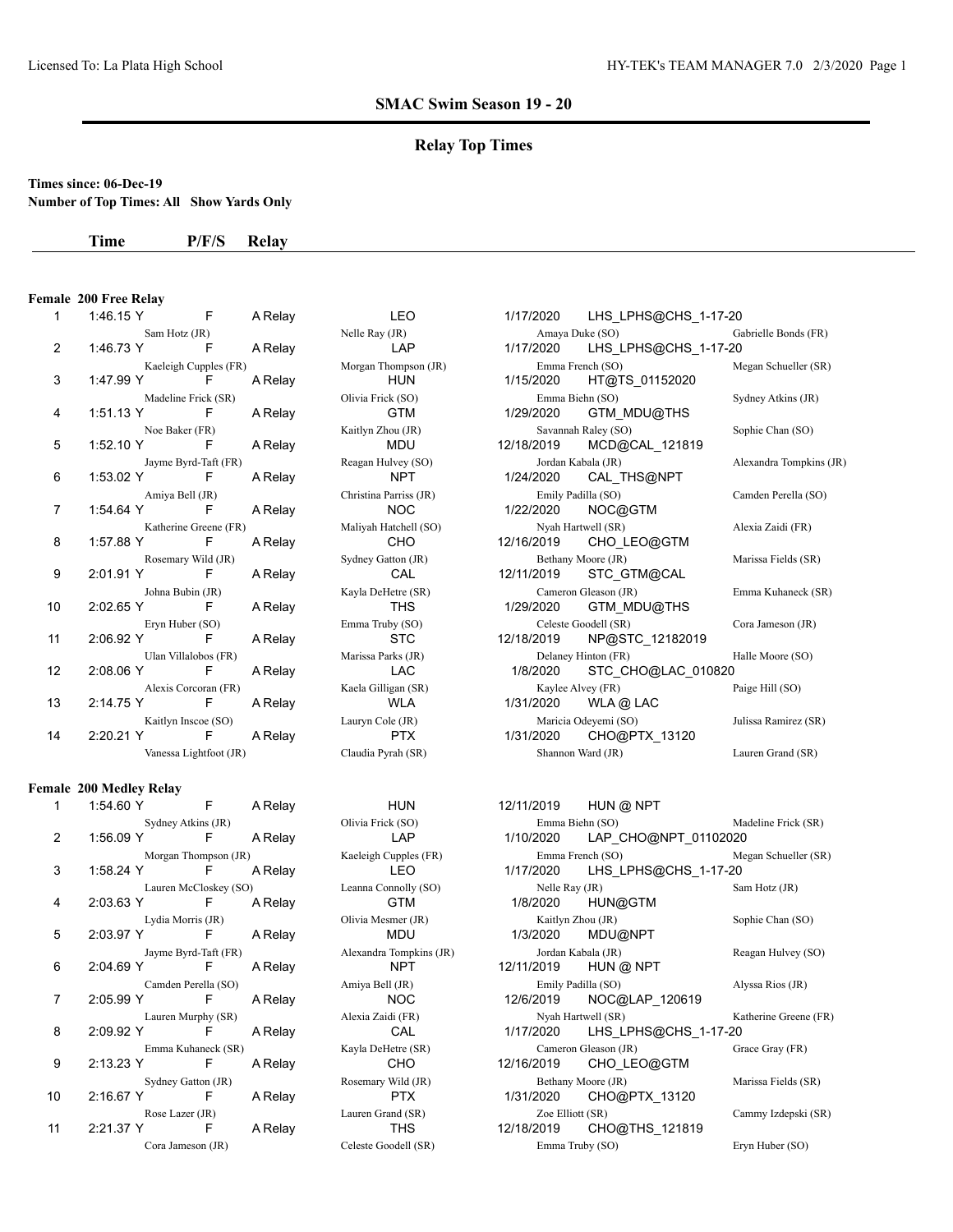## **Relay Top Times**

## **Times since: 06-Dec-19**

**Number of Top Times: All Show Yards Only**

#### **Time P/F/S Relay**

# **Female 200 Free Relay**

| Т.             | $\blacksquare$ 1.40.101 |                     | a Reiay | in the state of the state of the state of the state of the state of the state of the state of the state of the | $1/1/1/2020$ LHS LPHS $@$ CHS $1-1/20$ |                   |
|----------------|-------------------------|---------------------|---------|----------------------------------------------------------------------------------------------------------------|----------------------------------------|-------------------|
|                |                         |                     |         |                                                                                                                |                                        |                   |
| $\overline{2}$ |                         |                     |         |                                                                                                                |                                        |                   |
|                |                         |                     |         | Kaeleigh Cupples (FR) Morgan Thompson (JR)                                                                     | Emma French (SO) M                     |                   |
| 3              | 1:47.99 Y F             |                     |         | A Relay HUN                                                                                                    | 1/15/2020 HT@TS_01152020               |                   |
|                |                         | Madeline Frick (SR) |         | Olivia Frick (SO)                                                                                              | Emma Biehn (SO)                        | S <sub>2</sub>    |
| 4              | 1:51.13 Y F A Relay     |                     |         | <b>Example 19 GTM</b>                                                                                          | 1/29/2020 GTM MDU@THS                  |                   |
|                |                         | Noe Baker (FR)      |         | Kaitlyn Zhou (JR)                                                                                              | Savannah Raley (SO)                    | S <sub>0</sub>    |
| 5              |                         |                     |         | 1:52.10 Y F A Relay MDU                                                                                        | 12/18/2019 MCD@CAL_121819              |                   |
|                | Jayme Byrd-Taft (FR)    |                     |         | Reagan Hulvey (SO)                                                                                             | Jordan Kabala (JR)                     | $\overline{A}$    |
| 6              |                         |                     |         | 1:53.02 Y F A Relay NPT                                                                                        |                                        |                   |
|                |                         |                     |         | Amiya Bell (JR) Christina Parriss (JR) Emily Padilla (SO)                                                      |                                        | $\mathbf{C}$      |
| $\overline{7}$ |                         |                     |         | 1.54.64 Y F A Relay NOC                                                                                        | 1/22/2020 NOC@GTM                      |                   |
|                |                         |                     |         | Katherine Greene (FR) Maliyah Hatchell (SO) Nyah Hartwell (SR)                                                 |                                        | $\overline{A}$    |
| 8              |                         |                     |         | 1:57.88 Y F A Relay CHO                                                                                        | 12/16/2019 CHO_LEO@GTM                 |                   |
|                | Rosemary Wild (JR)      |                     |         | Sydney Gatton (JR) Bethany Moore (JR)                                                                          |                                        | $\mathbf M$       |
| 9              | 2:01.91 Y F A Relay     |                     |         | <b>CAL</b>                                                                                                     | 12/11/2019        STC_GTM@CAL          |                   |
|                |                         | Johna Bubin (JR)    |         | Kayla DeHetre (SR) Cameron Gleason (JR)                                                                        |                                        | $E_1$             |
| 10             | 2:02.65 Y F A Relay     |                     |         | <b>THS</b>                                                                                                     | 1/29/2020 GTM MDU@THS                  |                   |
|                |                         | Eryn Huber (SO)     |         | Emma Truby (SO)                                                                                                | Celeste Goodell (SR)                   | $\overline{C}$    |
| 11             |                         |                     |         | 2:06.92 Y F A Relay STC                                                                                        | 12/18/2019 NP@STC_12182019             |                   |
|                | Ulan Villalobos (FR)    |                     |         | Marissa Parks (JR) Delaney Hinton (FR)                                                                         |                                        | H                 |
| 12             | 2:08.06 Y F             |                     |         | A Relay LAC                                                                                                    | 1/8/2020 STC_CHO@LAC_010820            |                   |
|                |                         |                     |         | Alexis Corcoran (FR) Kaela Gilligan (SR) Kaylee Alvey (FR)                                                     |                                        | $P_{\mathcal{E}}$ |
| 13             |                         |                     |         | 2:14.75 Y F A Relay WLA                                                                                        | 1/31/2020 WLA@LAC                      |                   |
|                |                         |                     |         | Kaitlyn Inscoe (SO) Lauryn Cole (JR)                                                                           | Maricia Odeyemi (SO)                   | J <sub>u</sub>    |
| 14             |                         |                     |         | 2:20.21 Y F A Relay PTX                                                                                        | 1/31/2020 CHO@PTX_13120                |                   |
|                |                         |                     |         | Vanessa Lightfoot (JR) Claudia Pyrah (SR) Shannon Ward (JR)                                                    |                                        | L                 |
|                |                         |                     |         |                                                                                                                |                                        |                   |

#### **Female 200 Medley Relay**

| 1  | 1:54.60 Y | F                     | A Relay |
|----|-----------|-----------------------|---------|
|    |           | Sydney Atkins (JR)    |         |
| 2  | 1:56.09 Y | F                     | A Relay |
|    |           | Morgan Thompson (JR)  |         |
| 3  | 1:58.24 Y | F                     | A Relay |
|    |           | Lauren McCloskey (SO) |         |
| 4  | 2:03.63 Y | F                     | A Relay |
|    |           | Lydia Morris (JR)     |         |
| 5  | 2:03.97 Y | F                     | A Relay |
|    |           | Jayme Byrd-Taft (FR)  |         |
| 6  | 2:04.69 Y | F                     | A Relay |
|    |           | Camden Perella (SO)   |         |
| 7  | 2:05.99 Y | F                     | A Relay |
|    |           | Lauren Murphy (SR)    |         |
| 8  | 2:09.92 Y | F                     | A Relay |
|    |           | Emma Kuhaneck (SR)    |         |
| 9  | 2:13.23 Y | F                     | A Relay |
|    |           | Sydney Gatton (JR)    |         |
| 10 | 2:16.67 Y | F                     | A Relay |
|    |           | Rose Lazer (JR)       |         |
| 11 | 2:21.37 Y | F                     | A Relay |
|    |           | Cora Jameson (JR)     |         |

| $\mathbf{1}$ |                      |                       | 1:46.15 Y F A Relay LEO                                     | 1/17/2020 LHS_LPHS@CHS_1-17-20         |                         |
|--------------|----------------------|-----------------------|-------------------------------------------------------------|----------------------------------------|-------------------------|
|              |                      |                       | Sam Hotz (JR) Nelle Ray (JR)                                | Amaya Duke (SO)                        | Gabrielle Bonds (FR)    |
| 2            |                      |                       | 1:46.73 Y F A Relay LAP                                     | 1/17/2020 LHS_LPHS@CHS_1-17-20         |                         |
|              |                      |                       | Kaeleigh Cupples (FR) Morgan Thompson (JR) Emma French (SO) |                                        | Megan Schueller (SR)    |
| 3            | 1:47.99 Y F          |                       | A Relay <b>HUN</b>                                          | 1/15/2020 HT@TS_01152020               |                         |
|              | Madeline Frick (SR)  |                       | Olivia Frick (SO)                                           | Emma Biehn (SO)                        | Sydney Atkins (JR)      |
| 4            | 1:51.13 Y F          | A Relay               |                                                             |                                        |                         |
|              | Noe Baker (FR)       |                       | Kaitlyn Zhou (JR)                                           | Savannah Raley (SO)                    | Sophie Chan (SO)        |
| 5            | 1:52.10 Y F A Relay  |                       | <b>MDU</b>                                                  | 12/18/2019 MCD@CAL_121819              |                         |
|              | Jayme Byrd-Taft (FR) |                       | Reagan Hulvey (SO)                                          | Jordan Kabala (JR)                     | Alexandra Tompkins (JR) |
| 6            | 1:53.02 Y F          | A Relay               |                                                             |                                        |                         |
|              | Amiya Bell (JR)      |                       | Christina Parriss (JR)                                      | Emily Padilla (SO)                     | Camden Perella (SO)     |
| 7            | 1:54.64 Y F A Relay  |                       | NOC 1/22/2020 NOC@GTM                                       |                                        |                         |
|              |                      | Katherine Greene (FR) | Maliyah Hatchell (SO)                                       | Nyah Hartwell (SR)                     | Alexia Zaidi (FR)       |
| 8            | 1:57.88 Y F          | A Relay               | <b>CHO</b>                                                  | 12/16/2019    CHO_LEO@GTM              |                         |
|              | Rosemary Wild (JR)   |                       | Sydney Gatton (JR)                                          | Bethany Moore (JR)                     | Marissa Fields (SR)     |
| 9            | 2:01.91 Y F          | A Relay               |                                                             | 12/11/2019 STC_GTM@CAL                 |                         |
|              | Johna Bubin (JR)     |                       | Kayla DeHetre (SR)                                          | Cameron Gleason (JR)                   | Emma Kuhaneck (SR)      |
| 10           | 2:02.65 Y F A Relay  |                       |                                                             |                                        |                         |
|              | Eryn Huber (SO)      |                       | Emma Truby (SO)                                             | Celeste Goodell (SR)                   | Cora Jameson (JR)       |
| 11           | 2:06.92 Y F A Relay  |                       | <b>STC</b>                                                  | 12/18/2019 NP@STC_12182019             |                         |
|              | Ulan Villalobos (FR) |                       | Marissa Parks (JR)                                          | Delaney Hinton (FR)                    | Halle Moore (SO)        |
| 12           | $2:08.06$ Y F        | A Relay               |                                                             | LAC       1/8/2020  STC_CHO@LAC_010820 |                         |
|              | Alexis Corcoran (FR) |                       | Kaela Gilligan (SR)                                         | Kaylee Alvey (FR)                      | Paige Hill (SO)         |
| 13           | 2:14.75 Y F          |                       | A Relay <b>WLA</b> 1/31/2020 WLA <b>Q LAC</b>               |                                        |                         |
|              | Kaitlyn Inscoe (SO)  |                       | Lauryn Cole (JR)                                            | Maricia Odeyemi (SO)                   | Julissa Ramirez (SR)    |
| 14           |                      |                       | 2:20.21 Y F A Relay PTX 1/31/2020 CHO@PTX_13120             |                                        |                         |
|              |                      |                       | Vanessa Lightfoot (JR) Claudia Pyrah (SR)                   | Shannon Ward (JR)                      | Lauren Grand (SR)       |

HUN 12/11/2019 HUN @ NPT Olivia Frick (SO) Emma Biehn (SO) Madeline Frick (SR) 2 1:56.09 Y F A Relay LAP 1/10/2020 LAP\_CHO@NPT\_01102020 Kaeleigh Cupples (FR) Emma French (SO) Megan Schueller (SR) LEO 1/17/2020 LHS LPHS@CHS 1-17-20 Leanna Connolly (SO) Nelle Ray (JR) Sam Hotz (JR) Sam Hotz (JR) GTM 1/8/2020 HUN@GTM Lydia Morris (JR) Olivia Mesmer (JR) Kaitlyn Zhou (JR) Sophie Chan (SO) MDU 1/3/2020 MDU@NPT Alexandra Tompkins (JR) Jordan Kabala (JR) Reagan Hulvey (SO) NPT 12/11/2019 HUN @ NPT Amiya Bell (JR) Emily Padilla (SO) Alyssa Rios (JR) NOC 12/6/2019 NOC@LAP 120619 Alexia Zaidi (FR) Nyah Hartwell (SR) Katherine Greene (FR) CAL 1/17/2020 LHS LPHS@CHS 1-17-20 Kayla DeHetre (SR) Cameron Gleason (JR) Grace Gray (FR) CHO 12/16/2019 CHO LEO@GTM Rosemary Wild (JR) Bethany Moore (JR) Marissa Fields (SR) PTX 1/31/2020 CHO@PTX 13120 Lauren Grand (SR) Zoe Elliott (SR) Cammy Izdepski (SR) THS 12/18/2019 CHO@THS\_121819 Cora Jameson (JR) Celeste Goodell (SR) Emma Truby (SO) Eryn Huber (SO)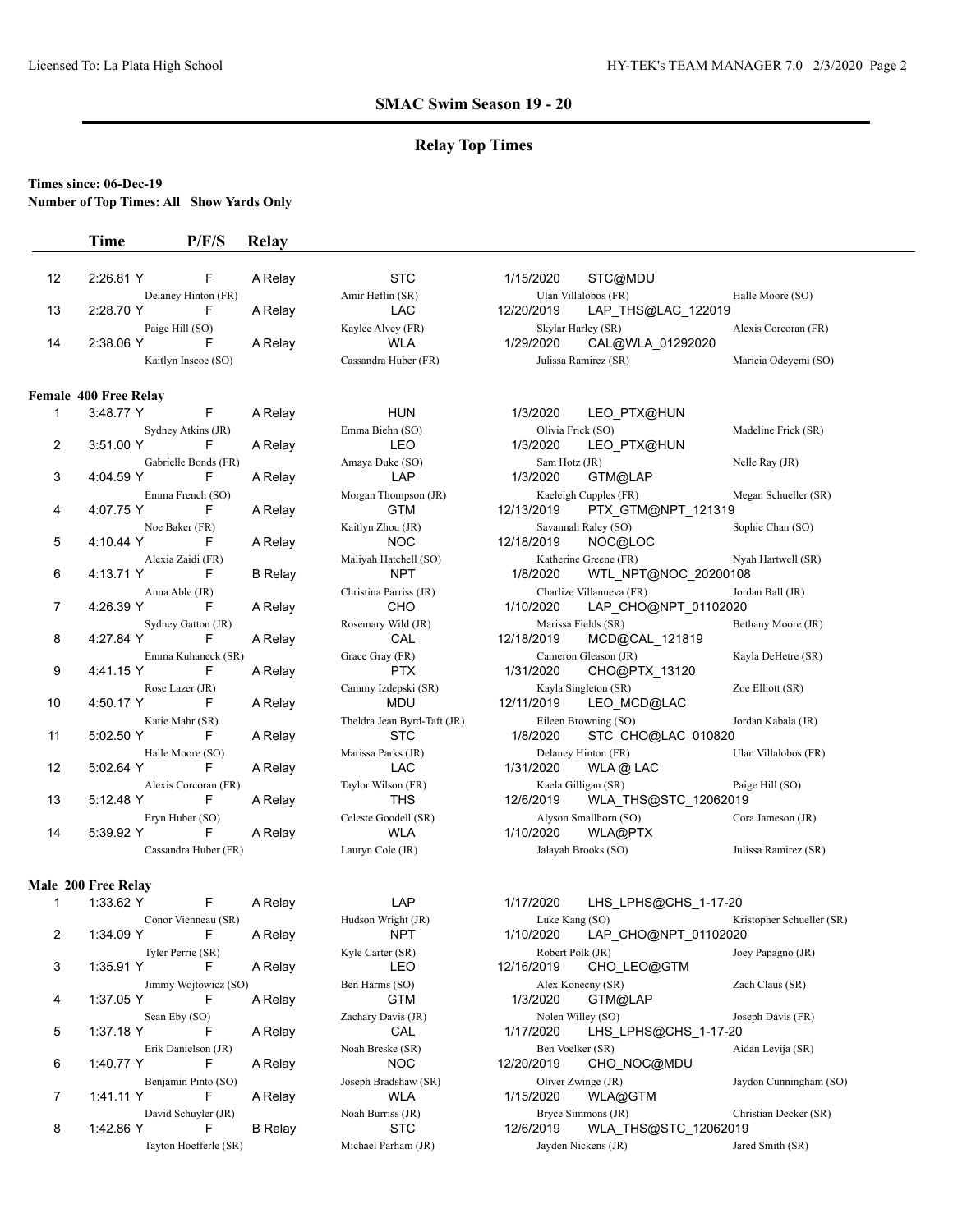## **Relay Top Times**

### **Times since: 06-Dec-19**

**Number of Top Times: All Show Yards Only**

|                | <b>Time</b>                  | P/F/S                     | Relay          |                                  |                                                               |                           |
|----------------|------------------------------|---------------------------|----------------|----------------------------------|---------------------------------------------------------------|---------------------------|
| 12             | 2:26.81 Y                    | F                         | A Relay        | <b>STC</b>                       | 1/15/2020<br>STC@MDU                                          |                           |
| 13             | 2:28.70 Y                    | Delaney Hinton (FR)<br>F  | A Relay        | Amir Heflin (SR)<br>LAC          | Ulan Villalobos (FR)<br>12/20/2019<br>LAP_THS@LAC_122019      | Halle Moore (SO)          |
| 14             | 2:38.06 Y                    | Paige Hill (SO)<br>F      | A Relay        | Kaylee Alvey (FR)<br><b>WLA</b>  | Skylar Harley (SR)<br>1/29/2020<br>CAL@WLA 01292020           | Alexis Corcoran (FR)      |
|                |                              | Kaitlyn Inscoe (SO)       |                | Cassandra Huber (FR)             | Julissa Ramirez (SR)                                          | Maricia Odeyemi (SO)      |
|                | <b>Female 400 Free Relay</b> |                           |                |                                  |                                                               |                           |
| 1              | 3:48.77 Y                    | F                         | A Relay        | <b>HUN</b>                       | 1/3/2020<br>LEO PTX@HUN                                       |                           |
|                | 3:51.00 Y                    | Sydney Atkins (JR)        |                | Emma Biehn (SO)                  | Olivia Frick (SO)                                             | Madeline Frick (SR)       |
| 2              |                              | F                         | A Relay        | <b>LEO</b>                       | 1/3/2020<br>LEO PTX@HUN                                       |                           |
| 3              | 4:04.59 Y                    | Gabrielle Bonds (FR)<br>F | A Relay        | Amaya Duke (SO)<br>LAP           | Sam Hotz (JR)<br>1/3/2020<br>GTM@LAP                          | Nelle Ray (JR)            |
|                |                              | Emma French (SO)          |                | Morgan Thompson (JR)             | Kaeleigh Cupples (FR)                                         | Megan Schueller (SR)      |
| 4              | 4:07.75 Y                    | F                         | A Relay        | GTM                              | 12/13/2019<br>PTX_GTM@NPT_121319                              |                           |
|                |                              | Noe Baker (FR)            |                | Kaitlyn Zhou (JR)                | Savannah Raley (SO)                                           | Sophie Chan (SO)          |
| 5              | 4:10.44 Y                    | F                         | A Relay        | <b>NOC</b>                       | 12/18/2019<br>NOC@LOC                                         |                           |
|                |                              | Alexia Zaidi (FR)         |                | Maliyah Hatchell (SO)            | Katherine Greene (FR)                                         | Nyah Hartwell (SR)        |
| 6              | 4:13.71 Y                    | F                         | <b>B</b> Relay | <b>NPT</b>                       | 1/8/2020<br>WTL_NPT@NOC_20200108                              |                           |
| 7              | 4:26.39 Y                    | Anna Able (JR)<br>F       | A Relay        | Christina Parriss (JR)<br>CHO    | Charlize Villanueva (FR)<br>1/10/2020<br>LAP_CHO@NPT_01102020 | Jordan Ball (JR)          |
|                |                              | Sydney Gatton (JR)        |                | Rosemary Wild (JR)               | Marissa Fields (SR)                                           | Bethany Moore (JR)        |
| 8              | 4:27.84 Y                    | F                         | A Relay        | CAL                              | 12/18/2019<br>MCD@CAL_121819                                  |                           |
| 9              | 4:41.15 Y                    | Emma Kuhaneck (SR)<br>F   | A Relay        | Grace Gray (FR)<br><b>PTX</b>    | Cameron Gleason (JR)<br>1/31/2020<br>CHO@PTX_13120            | Kayla DeHetre (SR)        |
|                |                              | Rose Lazer (JR)           |                | Cammy Izdepski (SR)              | Kayla Singleton (SR)                                          | Zoe Elliott (SR)          |
| 10             | 4:50.17 Y                    | F                         | A Relay        | <b>MDU</b>                       | 12/11/2019<br>LEO_MCD@LAC                                     |                           |
|                |                              | Katie Mahr (SR)           |                | Theldra Jean Byrd-Taft (JR)      | Eileen Browning (SO)                                          | Jordan Kabala (JR)        |
| 11             | 5:02.50 Y                    | F                         | A Relay        | <b>STC</b>                       | 1/8/2020<br>STC CHO@LAC 010820                                |                           |
|                |                              | Halle Moore (SO)          |                | Marissa Parks (JR)               | Delaney Hinton (FR)                                           | Ulan Villalobos (FR)      |
| 12             | 5:02.64 Y                    | F                         | A Relay        | <b>LAC</b>                       | 1/31/2020<br>WLA @ LAC                                        |                           |
| 13             | 5:12.48 Y                    | Alexis Corcoran (FR)<br>F | A Relay        | Taylor Wilson (FR)<br><b>THS</b> | Kaela Gilligan (SR)<br>WLA_THS@STC_12062019<br>12/6/2019      | Paige Hill (SO)           |
|                |                              | Eryn Huber (SO)           |                | Celeste Goodell (SR)             | Alyson Smallhorn (SO)                                         | Cora Jameson (JR)         |
| 14             | 5:39.92 Y                    | F                         | A Relay        | <b>WLA</b>                       | 1/10/2020<br>WLA@PTX                                          |                           |
|                |                              | Cassandra Huber (FR)      |                | Lauryn Cole (JR)                 | Jalayah Brooks (SO)                                           | Julissa Ramirez (SR)      |
|                | <b>Male 200 Free Relay</b>   |                           |                |                                  |                                                               |                           |
| 1              | 1:33.62 Y                    | F                         | A Relay        | LAP                              | 1/17/2020<br>LHS_LPHS@CHS_1-17-20                             |                           |
|                |                              | Conor Vienneau (SR)       |                | Hudson Wright (JR)               | Luke Kang (SO)                                                | Kristopher Schueller (SR) |
| $\overline{2}$ | 1:34.09 Y                    | F                         | A Relay        | <b>NPT</b>                       | 1/10/2020<br>LAP_CHO@NPT_01102020                             |                           |
| 3              | 1:35.91 Y                    | Tyler Perrie (SR)<br>F    | A Relay        | Kyle Carter (SR)<br>LEO          | Robert Polk (JR)<br>CHO LEO@GTM<br>12/16/2019                 | Joey Papagno (JR)         |
|                |                              | Jimmy Wojtowicz (SO)      |                | Ben Harms (SO)                   | Alex Konecny (SR)                                             | Zach Claus (SR)           |
| 4              | 1:37.05 Y                    | F                         | A Relay        | <b>GTM</b>                       | 1/3/2020<br>GTM@LAP                                           |                           |
|                |                              | Sean Eby (SO)             |                | Zachary Davis (JR)               | Nolen Willey (SO)                                             | Joseph Davis (FR)         |
| 5              | 1:37.18 Y                    | F                         | A Relay        | CAL                              | 1/17/2020<br>LHS_LPHS@CHS_1-17-20                             |                           |
|                |                              | Erik Danielson (JR)       |                | Noah Breske (SR)                 | Ben Voelker (SR)                                              | Aidan Levija (SR)         |

6 1:40.77 Y F A Relay NOC 12/20/2019 CHO\_NOC@MDU<br>Benjamin Pinto (SO) Joseph Bradshaw (SR) Oliver Zwinge (JR) Benjamin Pinto (SO) Joseph Bradshaw (SR) Oliver Zwinge (JR) Jaydon Cunningham (SO)<br>1:41.11 Y F A Relay WLA 1/15/2020 WLA@GTM 7 1:41.11 Y F A Relay WLA 1/15/2020 WLA@GTM David Schuyler (JR)<br>
1:42.86 Y E B Relay STC 1206/2019 WLA\_THS@STC\_12062019 Christian Decker (SR)

8 1:42.86 Y F B Relay STC 12/6/2019 WLA\_THS@STC\_12062019 Tayton Hoefferle (SR) Michael Parham (JR) Jayden Nickens (JR) Jared Smith (SR)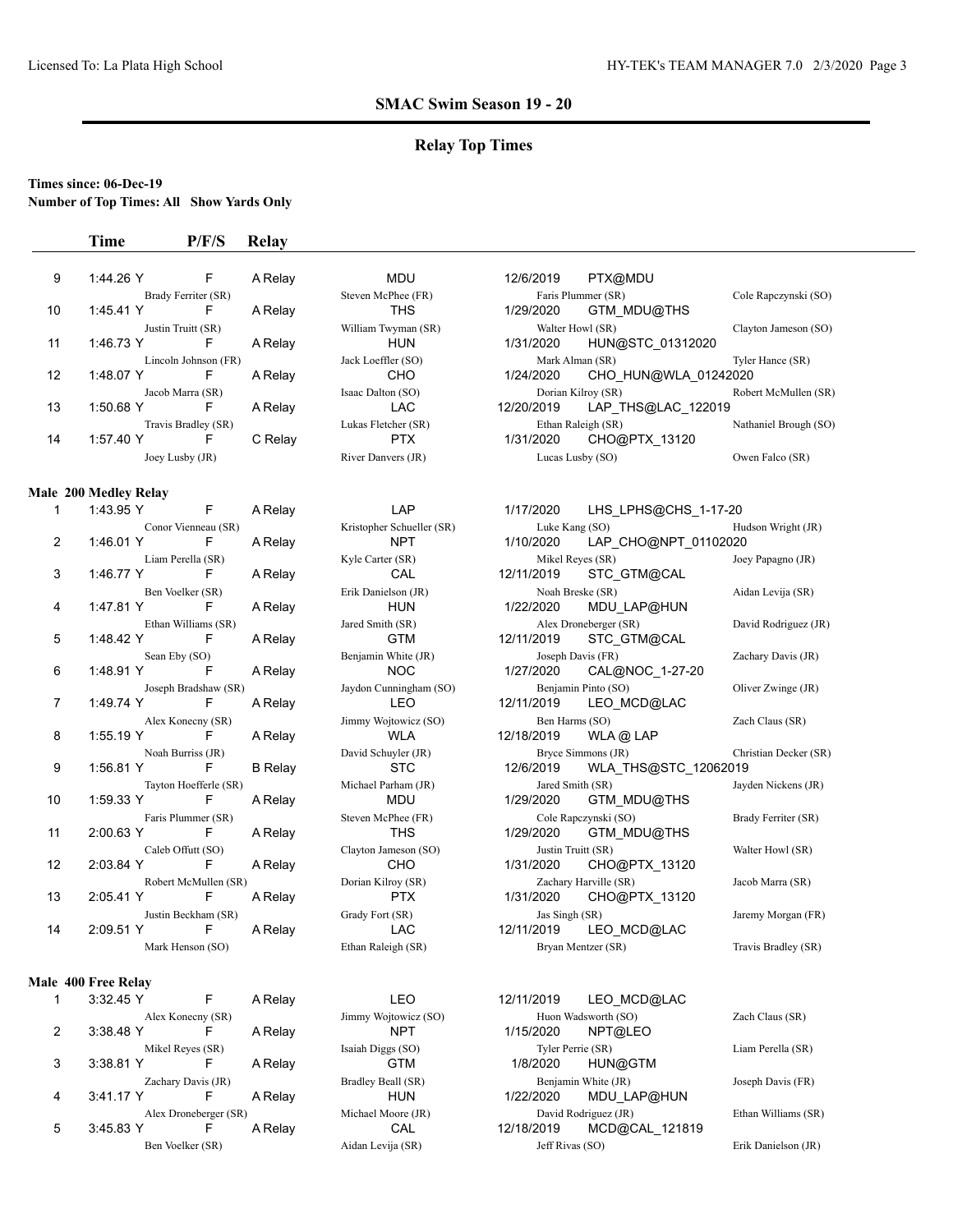## **Relay Top Times**

#### **Times since: 06-Dec-19**

**Number of Top Times: All Show Yards Only**

#### **Time P/F/S Relay**

| 9                    | 1:44.26 Y | F                   | A Relay | <b>MDU</b>          | 12/6/2019  | PTX@MDU            |
|----------------------|-----------|---------------------|---------|---------------------|------------|--------------------|
|                      |           | Brady Ferriter (SR) |         | Steven McPhee (FR)  |            | Faris Plummer (SR) |
| 10                   | 1:45.41 Y | F                   | A Relay | THS                 | 1/29/2020  | GTM MDU@THS        |
|                      |           | Justin Truitt (SR)  |         | William Twyman (SR) |            | Walter Howl (SR)   |
| 11                   | 1:46.73 Y | F                   | A Relay | <b>HUN</b>          | 1/31/2020  | HUN@STC 01312020   |
| Lincoln Johnson (FR) |           |                     |         | Jack Loeffler (SO)  |            | Mark Alman (SR)    |
| 12                   | 1:48.07 Y | F                   | A Relay | CHO                 | 1/24/2020  | CHO HUN@WLA 01242  |
|                      |           | Jacob Marra (SR)    |         | Isaac Dalton (SO)   |            | Dorian Kilroy (SR) |
| 13                   | 1:50.68 Y | F                   | A Relay | LAC                 | 12/20/2019 | LAP THS@LAC_122019 |
| Travis Bradley (SR)  |           |                     |         | Lukas Fletcher (SR) |            | Ethan Raleigh (SR) |
| 14                   | 1:57.40 Y | F                   | C Relay | <b>PTX</b>          | 1/31/2020  | CHO@PTX 13120      |
| Joey Lusby (JR)      |           |                     |         | River Danvers (JR)  |            | Lucas Lusby (SO)   |
|                      |           |                     |         |                     |            |                    |

#### **Male 200 Medley Relay**

| 1              | 1:43.95 Y | F                        | A Relay        |
|----------------|-----------|--------------------------|----------------|
|                |           | Conor Vienneau (SR)      |                |
| $\overline{2}$ | 1:46.01 Y | F                        | A Relay        |
|                |           | Liam Perella (SR)        |                |
| 3              | 1:46.77 Y | F                        | A Relay        |
|                |           | Ben Voelker (SR)         |                |
| 4              | 1:47.81 Y | F                        | A Relay        |
|                |           | Ethan Williams (SR)      |                |
| 5              | 1:48.42 Y | F                        | A Relay        |
|                |           |                          |                |
| 6              | 1:48.91 Y | Sean Eby (SO)<br>F       |                |
|                |           |                          | A Relay        |
|                |           | Joseph Bradshaw (SR)     |                |
| 7              | 1:49.74 Y | F                        | A Relay        |
|                |           | Alex Konecny (SR)        |                |
| 8              | 1:55.19 Y | F                        | A Relay        |
|                |           | Noah Burriss (JR)        |                |
| 9              | 1:56.81 Y | F                        | <b>B</b> Relay |
|                |           | Tayton Hoefferle (SR)    |                |
| 10             | 1:59.33 Y | F                        | A Relay        |
|                |           | Faris Plummer (SR)       |                |
| 11             | 2:00.63 Y | F                        | A Relay        |
|                |           | Caleb Offutt (SO)        |                |
| 12             | 2:03.84 Y | F                        | A Relay        |
|                |           | Robert McMullen (SR)     |                |
| 13             | 2:05.41 Y | F                        | A Relay        |
|                |           |                          |                |
| 14             | 2:09.51 Y | Justin Beckham (SR)<br>F |                |
|                |           |                          | A Relay        |
|                |           | Mark Henson (SO)         |                |

#### **Male 400 Free Relay**

|   | 3:32.45 Y | F                     | A Relay | LEO                  | 12/11/2019      | LEO MCD@             |  |
|---|-----------|-----------------------|---------|----------------------|-----------------|----------------------|--|
|   |           | Alex Konecny (SR)     |         | Jimmy Wojtowicz (SO) |                 | Huon Wadsworth (SO)  |  |
| 2 | 3:38.48 Y | F                     | A Relay | <b>NPT</b>           | 1/15/2020       | NPT@LEO              |  |
|   |           | Mikel Reyes (SR)      |         | Isaiah Diggs (SO)    |                 | Tyler Perrie (SR)    |  |
| 3 | 3:38.81 Y | F                     | A Relay | GTM                  | 1/8/2020        | HUN@GTM              |  |
|   |           | Zachary Davis (JR)    |         | Bradley Beall (SR)   |                 | Benjamin White (JR)  |  |
| 4 | 3:41.17 Y | F                     | A Relay | <b>HUN</b>           | 1/22/2020       | MDU LAP@             |  |
|   |           | Alex Droneberger (SR) |         | Michael Moore (JR)   |                 | David Rodriguez (JR) |  |
| 5 | 3:45.83 Y | F                     | A Relay | CAL                  | 12/18/2019      | MCD@CAL              |  |
|   |           | Ben Voelker (SR)      |         | Aidan Levija (SR)    | Jeff Rivas (SO) |                      |  |

Aidan Levija (SR) Jeff Rivas (SO) Erik Danielson (JR)

| 9  | 1:44.26 Y           |                      | A Relay | <b>MDU</b>          | 12/6/2019          | PTX@MDU              |                       |
|----|---------------------|----------------------|---------|---------------------|--------------------|----------------------|-----------------------|
|    | Brady Ferriter (SR) |                      |         | Steven McPhee (FR)  | Faris Plummer (SR) |                      | Cole Rapczynski (SO)  |
| 10 | 1:45.41 Y           |                      | A Relay | THS                 | 1/29/2020          | GTM MDU@THS          |                       |
|    | Justin Truitt (SR)  |                      |         | William Twyman (SR) | Walter Howl (SR)   |                      | Clayton Jameson (SO)  |
| 11 | 1:46.73 Y           |                      | A Relay | <b>HUN</b>          | 1/31/2020          | HUN@STC 01312020     |                       |
|    |                     | Lincoln Johnson (FR) |         | Jack Loeffler (SO)  | Mark Alman (SR)    |                      | Tyler Hance (SR)      |
| 12 | 1:48.07 Y           | F                    | A Relay | CHO                 | 1/24/2020          | CHO HUN@WLA 01242020 |                       |
|    | Jacob Marra (SR)    |                      |         | Isaac Dalton (SO)   | Dorian Kilroy (SR) |                      | Robert McMullen (SR)  |
| 13 | 1:50.68 Y           | F                    | A Relay | LAC                 | 12/20/2019         | LAP THS@LAC 122019   |                       |
|    | Travis Bradley (SR) |                      |         | Lukas Fletcher (SR) | Ethan Raleigh (SR) |                      | Nathaniel Brough (SO) |
| 14 | 1:57.40 Y           | F                    | C Relay | <b>PTX</b>          | 1/31/2020          | CHO@PTX 13120        |                       |
|    | Joey Lusby (JR)     |                      |         | River Danvers (JR)  | Lucas Lusby (SO)   |                      | Owen Falco (SR)       |

## LAP 1/17/2020 LHS LPHS@CHS 1-17-20

Kristopher Schueller (SR) Luke Kang (SO) Hudson Wright (JR) NPT 1/10/2020 LAP CHO@NPT\_01102020 Liam Perella (SR) Kyle Carter (SR) Mikel Reyes (SR) Joey Papagno (JR) CAL 12/11/2019 STC\_GTM@CAL Brik Danielson (JR) Noah Breske (SR) Aidan Levija (SR) HUN 1/22/2020 MDU\_LAP@HUN Jared Smith (SR) Alex Droneberger (SR) David Rodriguez (JR) GTM 12/11/2019 STC GTM@CAL Benjamin White (JR) Joseph Davis (FR) Zachary Davis (JR) NOC 1/27/2020 CAL@NOC\_1-27-20 Jaydon Cunningham (SO) Benjamin Pinto (SO) Oliver Zwinge (JR) LEO 12/11/2019 LEO MCD@LAC Alex Konecany Wojtowicz (SO) Ben Harms (SO) Zach Claus (SR) WLA 12/18/2019 WLA @ LAP David Schuyler (JR) Bryce Simmons (JR) Christian Decker (SR)  $STC$  12/6/2019 WLA\_THS@STC\_12062019 Michael Parham (JR) Jared Smith (SR) Jayden Nickens (JR) Jayden Nickens (JR) MDU 1/29/2020 GTM MDU@THS Faris Plummer (FR) Steven McPhee (FR) Cole Rapczynski (SO) Brady Ferriter (SR) THS 1/29/2020 GTM\_MDU@THS Clayton Jameson (SO) Justin Truitt (SR) Walter Howl (SR) CHO 1/31/2020 CHO@PTX\_13120 Dorian Kilroy (SR)  $Zachary Harville (SR)$  Jacob Marra (SR) PTX 1/31/2020 CHO@PTX\_13120 Grady Fort (SR) Jas Singh (SR) Jas Singh (SR) Jaremy Morgan (FR) LAC 12/11/2019 LEO MCD@LAC Ethan Raleigh (SR) Bryan Mentzer (SR) Travis Bradley (SR)

## LEO 12/11/2019 LEO MCD@LAC Alex Konec (SO) Huon Wadsworth (SO) Zach Claus (SR) NPT 1/15/2020 NPT@LEO Isaiah Diggs (SO) Tyler Perrie (SR) Liam Perella (SR) Bradley Beall (SR) Benjamin White (JR) Joseph Davis (FR) HUN 1/22/2020 MDU LAP@HUN Michael Moore (JR) David Rodriguez (JR) Ethan Williams (SR) CAL 12/18/2019 MCD@CAL\_121819